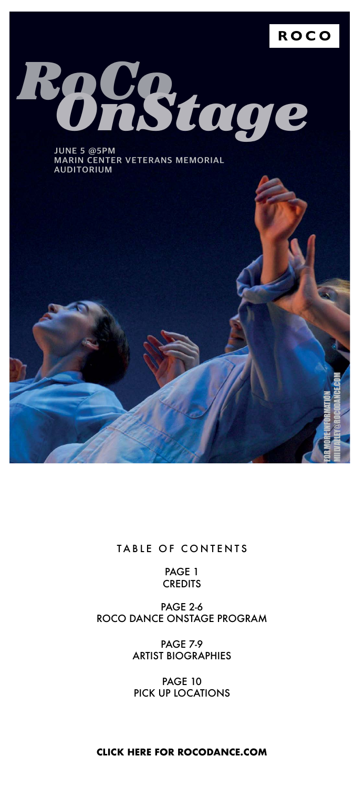#### **ROCO**



**JUNE 5 @5PM MARIN CENTER VETERANS MEMORIAL AUDITORIUM**

# *RoCo OnStage*

#### TABLE OF CONTENTS

PAGE 1

#### **CREDITS**

#### PAGE 2-6 ROCO DANCE ONSTAGE PROGRAM

#### PAGE 7-9 ARTIST BIOGRAPHIES

#### PAGE 10 PICK UP LOCATIONS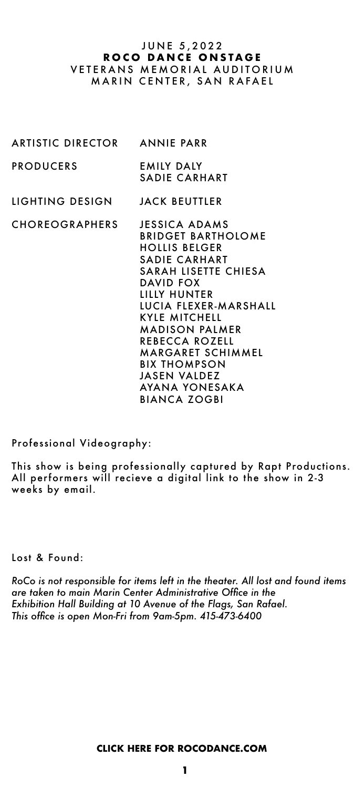ARTISTIC DIRECTOR ANNIE PARR

PRODUCERS EMILY DALY SADIE CARHART

LIGHTING DESIGN JACK BEUTTLER

CHOREOGRAPHERS JESSICA ADAMS

#### J U N E 5, 2022 **ROCO DANCE ONSTAGE** VETERANS MEMORIAL AUDITORIUM MARIN CENTER, SAN RAFAEL

 BRIDGET BARTHOLOME HOLLIS BELGER SADIE CARHART SARAH LISETTE CHIESA DAVID FOX LILLY HUNTER LUCIA FLEXER-MARSHALL KYLE MITCHELL MADISON PALMER REBECCA ROZELL MARGARET SCHIMMEL BIX THOMPSON JASEN VALDEZ AYANA YONESAKA BIANCA ZOGBI

Lost & Found:

*RoCo is not responsible for items left in the theater. All lost and found items are taken to main Marin Center Administrative Office in the Exhibition Hall Building at 10 Avenue of the Flags, San Rafael. This office is open Mon-Fri from 9am-5pm. 415-473-6400*

Professional Videography:

This show is being professionally captured by Rapt Productions. All performers will recieve a digital link to the show in 2-3 weeks by email.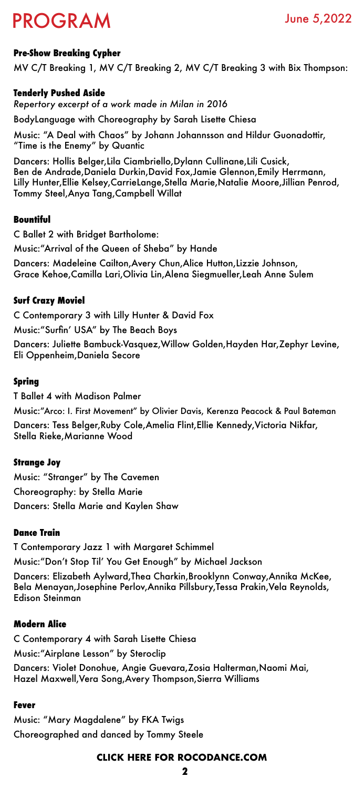# PROGRAM June 5,2022

#### **Pre-Show Breaking Cypher**

MV C/T Breaking 1, MV C/T Breaking 2, MV C/T Breaking 3 with Bix Thompson:

#### **Tenderly Pushed Aside**

*Repertory excerpt of a work made in Milan in 2016*

BodyLanguage with Choreography by Sarah Lisette Chiesa

Music: "A Deal with Chaos" by Johann Johannsson and Hildur Guonadottir, "Time is the Enemy" by Quantic

Dancers: Hollis Belger,Lila Ciambriello,Dylann Cullinane,Lili Cusick, Ben de Andrade,Daniela Durkin,David Fox,Jamie Glennon,Emily Herrmann, Lilly Hunter,Ellie Kelsey,CarrieLange,Stella Marie,Natalie Moore,Jillian Penrod, Tommy Steel,Anya Tang,Campbell Willat

#### **Bountiful**

C Ballet 2 with Bridget Bartholome:

Music:"Arrival of the Queen of Sheba" by Hande

Dancers: Madeleine Cailton,Avery Chun,Alice Hutton,Lizzie Johnson, Grace Kehoe,Camilla Lari,Olivia Lin,Alena Siegmueller,Leah Anne Sulem

#### **Surf Crazy Moviel**

C Contemporary 3 with Lilly Hunter & David Fox

Music:"Surfin' USA" by The Beach Boys

Dancers: Juliette Bambuck-Vasquez,Willow Golden,Hayden Har,Zephyr Levine, Eli Oppenheim,Daniela Secore

#### **Spring**

T Ballet 4 with Madison Palmer

Music:"Arco: I. First Movement" by Olivier Davis, Kerenza Peacock & Paul Bateman

Dancers: Tess Belger,Ruby Cole,Amelia Flint,Ellie Kennedy,Victoria Nikfar, Stella Rieke,Marianne Wood

#### **Strange Joy**

Music: "Stranger" by The Cavemen Choreography: by Stella Marie Dancers: Stella Marie and Kaylen Shaw

#### **Dance Train**

T Contemporary Jazz 1 with Margaret Schimmel Music:"Don't Stop Til' You Get Enough" by Michael Jackson Dancers: Elizabeth Aylward,Thea Charkin,Brooklynn Conway,Annika McKee, Bela Menayan,Josephine Perlov,Annika Pillsbury,Tessa Prakin,Vela Reynolds, Edison Steinman

#### **Modern Alice**

C Contemporary 4 with Sarah Lisette Chiesa

Music:"Airplane Lesson" by Steroclip

Dancers: Violet Donohue, Angie Guevara,Zosia Halterman,Naomi Mai, Hazel Maxwell,Vera Song,Avery Thompson,Sierra Williams

#### **Fever**

Music: "Mary Magdalene" by FKA Twigs Choreographed and danced by Tommy Steele

**2**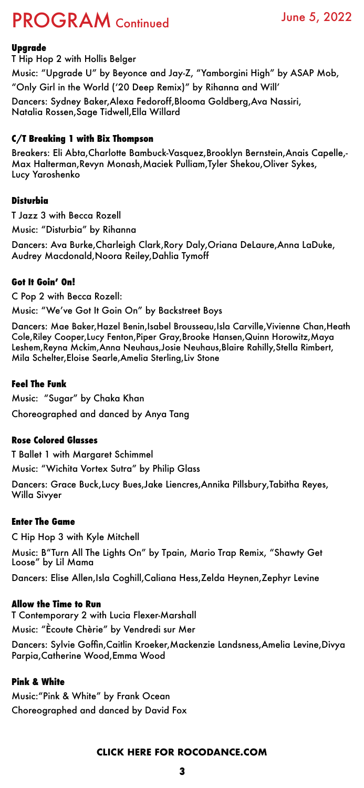# PROGRAM Continued June 5, 2022

#### **Upgrade**

T Hip Hop 2 with Hollis Belger

Music: "Upgrade U" by Beyonce and Jay-Z, "Yamborgini High" by ASAP Mob,

"Only Girl in the World ('20 Deep Remix)" by Rihanna and Will'

Dancers: Sydney Baker,Alexa Fedoroff,Blooma Goldberg,Ava Nassiri, Natalia Rossen,Sage Tidwell,Ella Willard

#### **C/T Breaking 1 with Bix Thompson**

Breakers: Eli Abta,Charlotte Bambuck-Vasquez,Brooklyn Bernstein,Anais Capelle,- Max Halterman,Revyn Monash,Maciek Pulliam,Tyler Shekou,Oliver Sykes, Lucy Yaroshenko

#### **Disturbia**

T Jazz 3 with Becca Rozell

Music: "Disturbia" by Rihanna

Dancers: Ava Burke,Charleigh Clark,Rory Daly,Oriana DeLaure,Anna LaDuke, Audrey Macdonald,Noora Reiley,Dahlia Tymoff

#### **Got It Goin' On!**

C Pop 2 with Becca Rozell:

Music: "We've Got It Goin On" by Backstreet Boys

Dancers: Mae Baker,Hazel Benin,Isabel Brousseau,Isla Carville,Vivienne Chan,Heath Cole,Riley Cooper,Lucy Fenton,Piper Gray,Brooke Hansen,Quinn Horowitz,Maya Leshem,Reyna Mckim,Anna Neuhaus,Josie Neuhaus,Blaire Rahilly,Stella Rimbert, Mila Schelter,Eloise Searle,Amelia Sterling,Liv Stone

#### **Feel The Funk**

Music: "Sugar" by Chaka Khan

Choreographed and danced by Anya Tang

#### **Rose Colored Glasses**

T Ballet 1 with Margaret Schimmel

Music: "Wichita Vortex Sutra" by Philip Glass

Dancers: Grace Buck,Lucy Bues,Jake Liencres,Annika Pillsbury,Tabitha Reyes, Willa Sivyer

#### **Enter The Game**

C Hip Hop 3 with Kyle Mitchell

Music: B"Turn All The Lights On" by Tpain, Mario Trap Remix, "Shawty Get Loose" by Lil Mama

Dancers: Elise Allen,Isla Coghill,Caliana Hess,Zelda Heynen,Zephyr Levine

#### **Allow the Time to Run**

T Contemporary 2 with Lucia Flexer-Marshall Music: "Ècoute Chèrie" by Vendredi sur Mer

Dancers: Sylvie Goffin,Caitlin Kroeker,Mackenzie Landsness,Amelia Levine,Divya Parpia,Catherine Wood,Emma Wood

#### **Pink & White**

Music:"Pink & White" by Frank Ocean Choreographed and danced by David Fox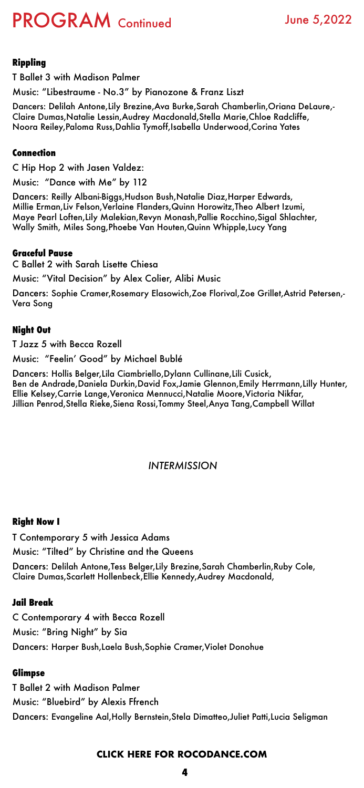# PROGRAM Continued June 5,2022

#### **Rippling**

T Ballet 3 with Madison Palmer

Music: "Libestraume - No.3" by Pianozone & Franz Liszt

Dancers: Delilah Antone,Lily Brezine,Ava Burke,Sarah Chamberlin,Oriana DeLaure,- Claire Dumas,Natalie Lessin,Audrey Macdonald,Stella Marie,Chloe Radcliffe, Noora Reiley,Paloma Russ,Dahlia Tymoff,Isabella Underwood,Corina Yates

#### **Connection**

C Hip Hop 2 with Jasen Valdez:

Music: "Dance with Me" by 112

Dancers: Reilly Albani-Biggs,Hudson Bush,Natalie Diaz,Harper Edwards, Millie Erman,Liv Felson,Verlaine Flanders,Quinn Horowitz,Theo Albert Izumi, Maye Pearl Loften,Lily Malekian,Revyn Monash,Pallie Rocchino,Sigal Shlachter, Wally Smith, Miles Song,Phoebe Van Houten,Quinn Whipple,Lucy Yang

#### **Graceful Pause**

C Ballet 2 with Sarah Lisette Chiesa

Music: "Vital Decision" by Alex Colier, Alibi Music

Dancers: Sophie Cramer,Rosemary Elasowich,Zoe Florival,Zoe Grillet,Astrid Petersen,- Vera Song

#### **Night Out**

T Jazz 5 with Becca Rozell

Music: "Feelin' Good" by Michael Bublé

Dancers: Hollis Belger,Lila Ciambriello,Dylann Cullinane,Lili Cusick, Ben de Andrade,Daniela Durkin,David Fox,Jamie Glennon,Emily Herrmann,Lilly Hunter, Ellie Kelsey,Carrie Lange,Veronica Mennucci,Natalie Moore,Victoria Nikfar, Jillian Penrod,Stella Rieke,Siena Rossi,Tommy Steel,Anya Tang,Campbell Willat

#### *INTERMISSION*

#### **Right Now I**

T Contemporary 5 with Jessica Adams

Music: "Tilted" by Christine and the Queens

Dancers: Delilah Antone,Tess Belger,Lily Brezine,Sarah Chamberlin,Ruby Cole, Claire Dumas,Scarlett Hollenbeck,Ellie Kennedy,Audrey Macdonald,

#### **Jail Break**

C Contemporary 4 with Becca Rozell Music: "Bring Night" by Sia

Dancers: Harper Bush,Laela Bush,Sophie Cramer,Violet Donohue

#### **Glimpse**

T Ballet 2 with Madison Palmer

Music: "Bluebird" by Alexis Ffrench

Dancers: Evangeline Aal,Holly Bernstein,Stela Dimatteo,Juliet Patti,Lucia Seligman

**4**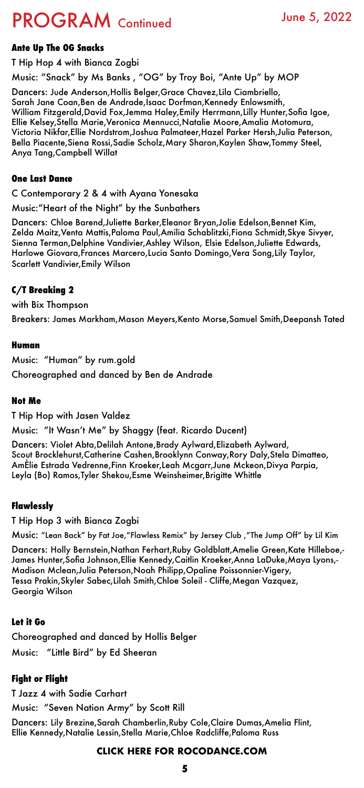# PROGRAM Continued June 5, 2022

#### **Ante Up The OG Snacks**

T Hip Hop 4 with Bianca Zogbi

Music: "Snack" by Ms Banks , "OG" by Troy Boi, "Ante Up" by MOP

Dancers: Jude Anderson,Hollis Belger,Grace Chavez,Lila Ciambriello, Sarah Jane Coan,Ben de Andrade,Isaac Dorfman,Kennedy Enlowsmith, William Fitzgerald,David Fox,Jemma Haley,Emily Herrmann,Lilly Hunter,Sofia Igoe, Ellie Kelsey,Stella Marie,Veronica Mennucci,Natalie Moore,Amalia Motomura, Victoria Nikfar,Ellie Nordstrom,Joshua Palmateer,Hazel Parker Hersh,Julia Peterson, Bella Piacente,Siena Rossi,Sadie Scholz,Mary Sharon,Kaylen Shaw,Tommy Steel, Anya Tang,Campbell Willat

#### **One Last Dance**

#### C Contemporary 2 & 4 with Ayana Yonesaka

Music:"Heart of the Night" by the Sunbathers

Dancers: Chloe Barend,Juliette Barker,Eleanor Bryan,Jolie Edelson,Bennet Kim, Zelda Maitz,Venta Mattis,Paloma Paul,Amilia Schablitzki,Fiona Schmidt,Skye Sivyer, Sienna Terman,Delphine Vandivier,Ashley Wilson, Elsie Edelson,Juliette Edwards, Harlowe Giovara,Frances Marcero,Lucia Santo Domingo,Vera Song,Lily Taylor, Scarlett Vandivier,Emily Wilson

#### **C/T Breaking 2**

with Bix Thompson

Breakers: James Markham,Mason Meyers,Kento Morse,Samuel Smith,Deepansh Tated

#### **Human**

Music: "Human" by rum.gold Choreographed and danced by Ben de Andrade

#### **Not Me**

T Hip Hop with Jasen Valdez

Music: "It Wasn't Me" by Shaggy (feat. Ricardo Ducent)

Dancers: Violet Abta,Delilah Antone,Brady Aylward,Elizabeth Aylward, Scout Brocklehurst,Catherine Cashen,Brooklynn Conway,Rory Daly,Stela Dimatteo, AmÈlie Estrada Vedrenne,Finn Kroeker,Leah Mcgarr,June Mckeon,Divya Parpia, Leyla (Bo) Ramos,Tyler Shekou,Esme Weinsheimer,Brigitte Whittle

#### **Flawlessly**

T Hip Hop 3 with Bianca Zogbi

Music: "Lean Back" by Fat Joe,"Flawless Remix" by Jersey Club ,"The Jump Off" by Lil Kim

Dancers: Holly Bernstein,Nathan Ferhart,Ruby Goldblatt,Amelie Green,Kate Hilleboe,- James Hunter,Sofia Johnson,Ellie Kennedy,Caitlin Kroeker,Anna LaDuke,Maya Lyons,- Madison Mclean,Julia Peterson,Noah Philipp,Opaline Poissonnier-Vigery, Tessa Prakin,Skyler Sabec,Lilah Smith,Chloe Soleil - Cliffe,Megan Vazquez, Georgia Wilson

#### **Let it Go**

Choreographed and danced by Hollis Belger

Music: "Little Bird" by Ed Sheeran

#### **Fight or Flight**

T Jazz 4 with Sadie Carhart

Music: "Seven Nation Army" by Scott Rill

Dancers: Lily Brezine,Sarah Chamberlin,Ruby Cole,Claire Dumas,Amelia Flint, Ellie Kennedy,Natalie Lessin,Stella Marie,Chloe Radcliffe,Paloma Russ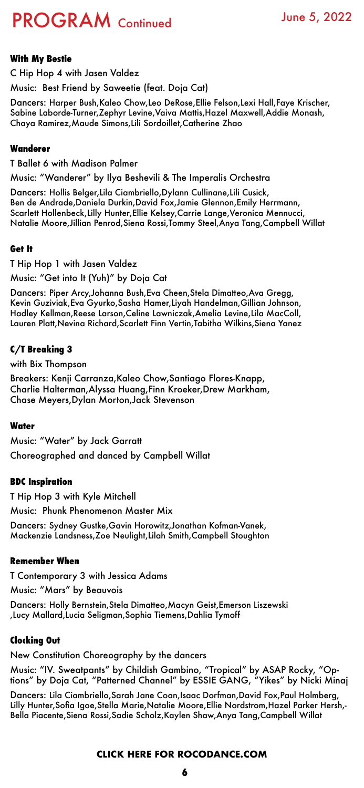**6**

# PROGRAM Continued June 5, 2022

#### **With My Bestie**

C Hip Hop 4 with Jasen Valdez

Music: Best Friend by Saweetie (feat. Doja Cat)

Dancers: Harper Bush,Kaleo Chow,Leo DeRose,Ellie Felson,Lexi Hall,Faye Krischer, Sabine Laborde-Turner,Zephyr Levine,Vaiva Mattis,Hazel Maxwell,Addie Monash, Chaya Ramirez,Maude Simons,Lili Sordoillet,Catherine Zhao

#### **Wanderer**

T Ballet 6 with Madison Palmer

Music: "Wanderer" by Ilya Beshevili & The Imperalis Orchestra

Dancers: Hollis Belger,Lila Ciambriello,Dylann Cullinane,Lili Cusick, Ben de Andrade,Daniela Durkin,David Fox,Jamie Glennon,Emily Herrmann, Scarlett Hollenbeck,Lilly Hunter,Ellie Kelsey,Carrie Lange,Veronica Mennucci, Natalie Moore,Jillian Penrod,Siena Rossi,Tommy Steel,Anya Tang,Campbell Willat

#### **Get It**

T Hip Hop 1 with Jasen Valdez

Music: "Get into It (Yuh)" by Doja Cat

Dancers: Piper Arcy,Johanna Bush,Eva Cheen,Stela Dimatteo,Ava Gregg, Kevin Guziviak,Eva Gyurko,Sasha Hamer,Liyah Handelman,Gillian Johnson, Hadley Kellman,Reese Larson,Celine Lawniczak,Amelia Levine,Lila MacColl, Lauren Platt,Nevina Richard,Scarlett Finn Vertin,Tabitha Wilkins,Siena Yanez

#### **C/T Breaking 3**

with Bix Thompson

Breakers: Kenji Carranza,Kaleo Chow,Santiago Flores-Knapp, Charlie Halterman,Alyssa Huang,Finn Kroeker,Drew Markham, Chase Meyers,Dylan Morton,Jack Stevenson

#### **Water**

Music: "Water" by Jack Garratt

Choreographed and danced by Campbell Willat

#### **BDC Inspiration**

T Hip Hop 3 with Kyle Mitchell

Music: Phunk Phenomenon Master Mix

Dancers: Sydney Gustke,Gavin Horowitz,Jonathan Kofman-Vanek, Mackenzie Landsness,Zoe Neulight,Lilah Smith,Campbell Stoughton

#### **Remember When**

T Contemporary 3 with Jessica Adams

Music: "Mars" by Beauvois

Dancers: Holly Bernstein,Stela Dimatteo,Macyn Geist,Emerson Liszewski ,Lucy Mallard,Lucia Seligman,Sophia Tiemens,Dahlia Tymoff

#### **Clocking Out**

New Constitution Choreography by the dancers

Music: "IV. Sweatpants" by Childish Gambino, "Tropical" by ASAP Rocky, "Options" by Doja Cat, "Patterned Channel" by ESSIE GANG, "Yikes" by Nicki Minaj

Dancers: Lila Ciambriello,Sarah Jane Coan,Isaac Dorfman,David Fox,Paul Holmberg, Lilly Hunter,Sofia Igoe,Stella Marie,Natalie Moore,Ellie Nordstrom,Hazel Parker Hersh,- Bella Piacente,Siena Rossi,Sadie Scholz,Kaylen Shaw,Anya Tang,Campbell Willat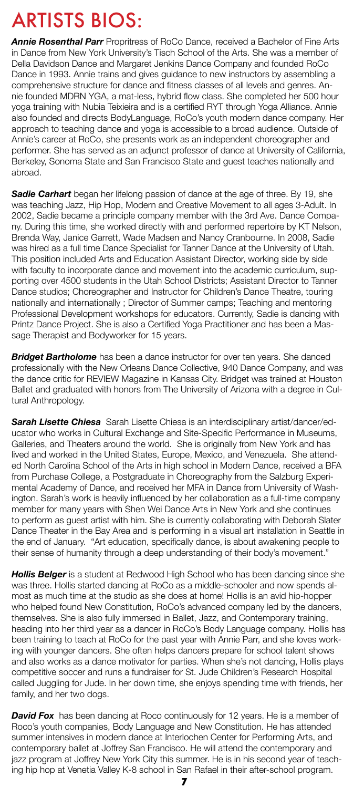**7**

# ARTISTS BIOS:

*Annie Rosenthal Parr* Propritress of RoCo Dance, received a Bachelor of Fine Arts in Dance from New York University's Tisch School of the Arts. She was a member of Della Davidson Dance and Margaret Jenkins Dance Company and founded RoCo Dance in 1993. Annie trains and gives guidance to new instructors by assembling a comprehensive structure for dance and fitness classes of all levels and genres. Annie founded MDRN YGA, a mat-less, hybrid flow class. She completed her 500 hour yoga training with Nubia Teixieira and is a certified RYT through Yoga Alliance. Annie also founded and directs BodyLanguage, RoCo's youth modern dance company. Her approach to teaching dance and yoga is accessible to a broad audience. Outside of Annie's career at RoCo, she presents work as an independent choreographer and performer. She has served as an adjunct professor of dance at University of California, Berkeley, Sonoma State and San Francisco State and guest teaches nationally and abroad.

**Sadie Carhart** began her lifelong passion of dance at the age of three. By 19, she was teaching Jazz, Hip Hop, Modern and Creative Movement to all ages 3-Adult. In 2002, Sadie became a principle company member with the 3rd Ave. Dance Company. During this time, she worked directly with and performed repertoire by KT Nelson, Brenda Way, Janice Garrett, Wade Madsen and Nancy Cranbourne. In 2008, Sadie was hired as a full time Dance Specialist for Tanner Dance at the University of Utah. This position included Arts and Education Assistant Director, working side by side with faculty to incorporate dance and movement into the academic curriculum, supporting over 4500 students in the Utah School Districts; Assistant Director to Tanner Dance studios; Choreographer and Instructor for Children's Dance Theatre, touring nationally and internationally ; Director of Summer camps; Teaching and mentoring Professional Development workshops for educators. Currently, Sadie is dancing with Printz Dance Project. She is also a Certified Yoga Practitioner and has been a Massage Therapist and Bodyworker for 15 years.

**Bridget Bartholome** has been a dance instructor for over ten years. She danced professionally with the New Orleans Dance Collective, 940 Dance Company, and was the dance critic for REVIEW Magazine in Kansas City. Bridget was trained at Houston Ballet and graduated with honors from The University of Arizona with a degree in Cultural Anthropology.

**Hollis Belger** is a student at Redwood High School who has been dancing since she was three. Hollis started dancing at RoCo as a middle-schooler and now spends almost as much time at the studio as she does at home! Hollis is an avid hip-hopper who helped found New Constitution, RoCo's advanced company led by the dancers, themselves. She is also fully immersed in Ballet, Jazz, and Contemporary training, heading into her third year as a dancer in RoCo's Body Language company. Hollis has been training to teach at RoCo for the past year with Annie Parr, and she loves working with younger dancers. She often helps dancers prepare for school talent shows and also works as a dance motivator for parties. When she's not dancing, Hollis plays competitive soccer and runs a fundraiser for St. Jude Children's Research Hospital called Juggling for Jude. In her down time, she enjoys spending time with friends, her family, and her two dogs.

**David Fox** has been dancing at Roco continuously for 12 years. He is a member of Roco's youth companies, Body Language and New Constitution. He has attended summer intensives in modern dance at Interlochen Center for Performing Arts, and contemporary ballet at Joffrey San Francisco. He will attend the contemporary and jazz program at Joffrey New York City this summer. He is in his second year of teaching hip hop at Venetia Valley K-8 school in San Rafael in their after-school program.

*Sarah Lisette Chiesa* Sarah Lisette Chiesa is an interdisciplinary artist/dancer/educator who works in Cultural Exchange and Site-Specific Performance in Museums, Galleries, and Theaters around the world. She is originally from New York and has lived and worked in the United States, Europe, Mexico, and Venezuela. She attended North Carolina School of the Arts in high school in Modern Dance, received a BFA from Purchase College, a Postgraduate in Choreography from the Salzburg Experimental Academy of Dance, and received her MFA in Dance from University of Washington. Sarah's work is heavily influenced by her collaboration as a full-time company member for many years with Shen Wei Dance Arts in New York and she continues to perform as guest artist with him. She is currently collaborating with Deborah Slater Dance Theater in the Bay Area and is performing in a visual art installation in Seattle in the end of January. "Art education, specifically dance, is about awakening people to their sense of humanity through a deep understanding of their body's movement."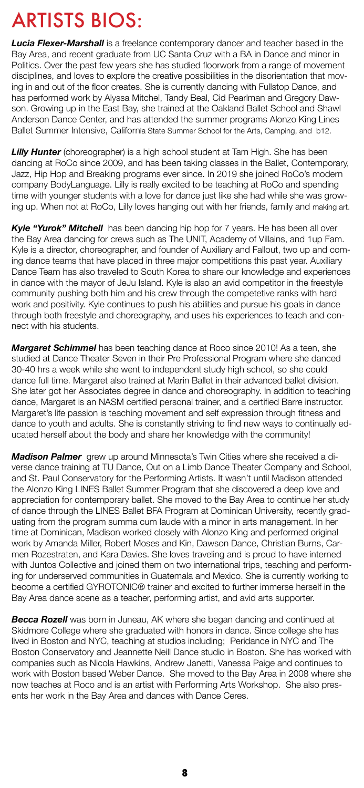**8**

*Lucia Flexer-Marshall* is a freelance contemporary dancer and teacher based in the Bay Area, and recent graduate from UC Santa Cruz with a BA in Dance and minor in Politics. Over the past few years she has studied floorwork from a range of movement disciplines, and loves to explore the creative possibilities in the disorientation that moving in and out of the floor creates. She is currently dancing with Fullstop Dance, and has performed work by Alyssa Mitchel, Tandy Beal, Cid Pearlman and Gregory Dawson. Growing up in the East Bay, she trained at the Oakland Ballet School and Shawl Anderson Dance Center, and has attended the summer programs Alonzo King Lines Ballet Summer Intensive, California State Summer School for the Arts, Camping, and b12.

**Lilly Hunter** (choreographer) is a high school student at Tam High. She has been dancing at RoCo since 2009, and has been taking classes in the Ballet, Contemporary, Jazz, Hip Hop and Breaking programs ever since. In 2019 she joined RoCo's modern company BodyLanguage. Lilly is really excited to be teaching at RoCo and spending time with younger students with a love for dance just like she had while she was growing up. When not at RoCo, Lilly loves hanging out with her friends, family and making art.

**Kyle "Yurok" Mitchell** has been dancing hip hop for 7 years. He has been all over the Bay Area dancing for crews such as The UNIT, Academy of Villains, and 1up Fam. Kyle is a director, choreographer, and founder of Auxiliary and Fallout, two up and coming dance teams that have placed in three major competitions this past year. Auxiliary Dance Team has also traveled to South Korea to share our knowledge and experiences in dance with the mayor of JeJu Island. Kyle is also an avid competitor in the freestyle community pushing both him and his crew through the competetive ranks with hard work and positivity. Kyle continues to push his abilities and pursue his goals in dance through both freestyle and choreography, and uses his experiences to teach and connect with his students.

**Becca Rozell** was born in Juneau, AK where she began dancing and continued at Skidmore College where she graduated with honors in dance. Since college she has lived in Boston and NYC, teaching at studios including; Peridance in NYC and The Boston Conservatory and Jeannette Neill Dance studio in Boston. She has worked with companies such as Nicola Hawkins, Andrew Janetti, Vanessa Paige and continues to work with Boston based Weber Dance. She moved to the Bay Area in 2008 where she now teaches at Roco and is an artist with Performing Arts Workshop. She also presents her work in the Bay Area and dances with Dance Ceres.

*Margaret Schimmel* has been teaching dance at Roco since 2010! As a teen, she studied at Dance Theater Seven in their Pre Professional Program where she danced 30-40 hrs a week while she went to independent study high school, so she could dance full time. Margaret also trained at Marin Ballet in their advanced ballet division. She later got her Associates degree in dance and choreography. In addition to teaching dance, Margaret is an NASM certified personal trainer, and a certified Barre instructor. Margaret's life passion is teaching movement and self expression through fitness and dance to youth and adults. She is constantly striving to find new ways to continually educated herself about the body and share her knowledge with the community!

*Madison Palmer* grew up around Minnesota's Twin Cities where she received a diverse dance training at TU Dance, Out on a Limb Dance Theater Company and School, and St. Paul Conservatory for the Performing Artists. It wasn't until Madison attended the Alonzo King LINES Ballet Summer Program that she discovered a deep love and appreciation for contemporary ballet. She moved to the Bay Area to continue her study of dance through the LINES Ballet BFA Program at Dominican University, recently graduating from the program summa cum laude with a minor in arts management. In her time at Dominican, Madison worked closely with Alonzo King and performed original work by Amanda Miller, Robert Moses and Kin, Dawson Dance, Christian Burns, Carmen Rozestraten, and Kara Davies. She loves traveling and is proud to have interned with Juntos Collective and joined them on two international trips, teaching and performing for underserved communities in Guatemala and Mexico. She is currently working to

become a certified GYROTONIC® trainer and excited to further immerse herself in the Bay Area dance scene as a teacher, performing artist, and avid arts supporter.

# ARTISTS BIOS: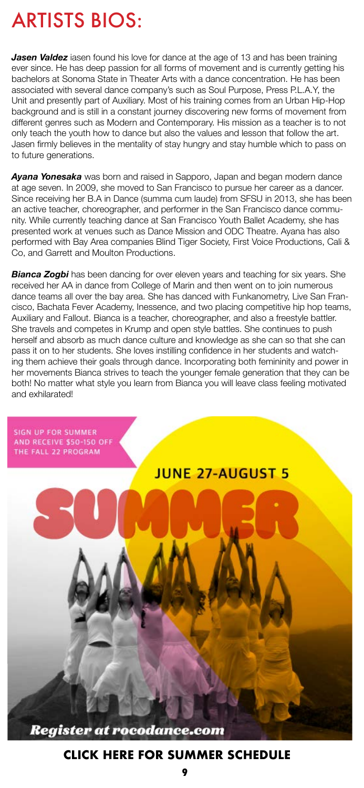**Jasen Valdez** iasen found his love for dance at the age of 13 and has been training ever since. He has deep passion for all forms of movement and is currently getting his bachelors at Sonoma State in Theater Arts with a dance concentration. He has been associated with several dance company's such as Soul Purpose, Press P.L.A.Y, the Unit and presently part of Auxiliary. Most of his training comes from an Urban Hip-Hop background and is still in a constant journey discovering new forms of movement from different genres such as Modern and Contemporary. His mission as a teacher is to not only teach the youth how to dance but also the values and lesson that follow the art. Jasen firmly believes in the mentality of stay hungry and stay humble which to pass on to future generations.

**Bianca Zogbi** has been dancing for over eleven years and teaching for six years. She received her AA in dance from College of Marin and then went on to join numerous

*Ayana Yonesaka* was born and raised in Sapporo, Japan and began modern dance at age seven. In 2009, she moved to San Francisco to pursue her career as a dancer. Since receiving her B.A in Dance (summa cum laude) from SFSU in 2013, she has been an active teacher, choreographer, and performer in the San Francisco dance community. While currently teaching dance at San Francisco Youth Ballet Academy, she has presented work at venues such as Dance Mission and ODC Theatre. Ayana has also performed with Bay Area companies Blind Tiger Society, First Voice Productions, Cali & Co, and Garrett and Moulton Productions.

dance teams all over the bay area. She has danced with Funkanometry, Live San Francisco, Bachata Fever Academy, Inessence, and two placing competitive hip hop teams, Auxiliary and Fallout. Bianca is a teacher, choreographer, and also a freestyle battler. She travels and competes in Krump and open style battles. She continues to push herself and absorb as much dance culture and knowledge as she can so that she can pass it on to her students. She loves instilling confidence in her students and watching them achieve their goals through dance. Incorporating both femininity and power in her movements Bianca strives to teach the younger female generation that they can be both! No matter what style you learn from Bianca you will leave class feeling motivated and exhilarated!



#### **Register at rocodance.com**

# ARTISTS BIOS:

#### **[CLICK HERE FOR SUMMER SCHEDULE](https://rocodance.com/hype-3/)**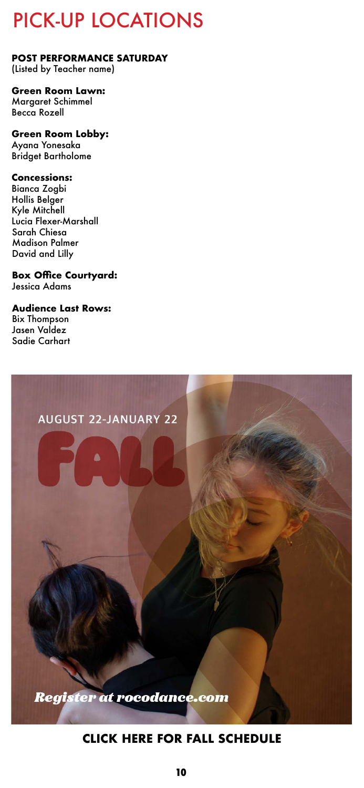#### **POST PERFORMANCE SATURDAY**

(Listed by Teacher name)

#### **Green Room Lawn:**

Margaret Schimmel Becca Rozell

#### **Green Room Lobby:**

Ayana Yonesaka Bridget Bartholome

#### **Concessions:**

Bianca Zogbi Hollis Belger Kyle Mitchell Lucia Flexer-Marshall Sarah Chiesa Madison Palmer David and Lilly

#### **Box Office Courtyard:**

Jessica Adams

#### **Audience Last Rows:**

Bix Thompson Jasen Valdez Sadie Carhart

# **AUGUST 22-JANUARY 22**

#### **Register at rocodance.com**

# PICK-UP LOCATIONS

#### **[CLICK HERE FOR FALL SCHEDULE](https://rocodance.com/hype-1/)**